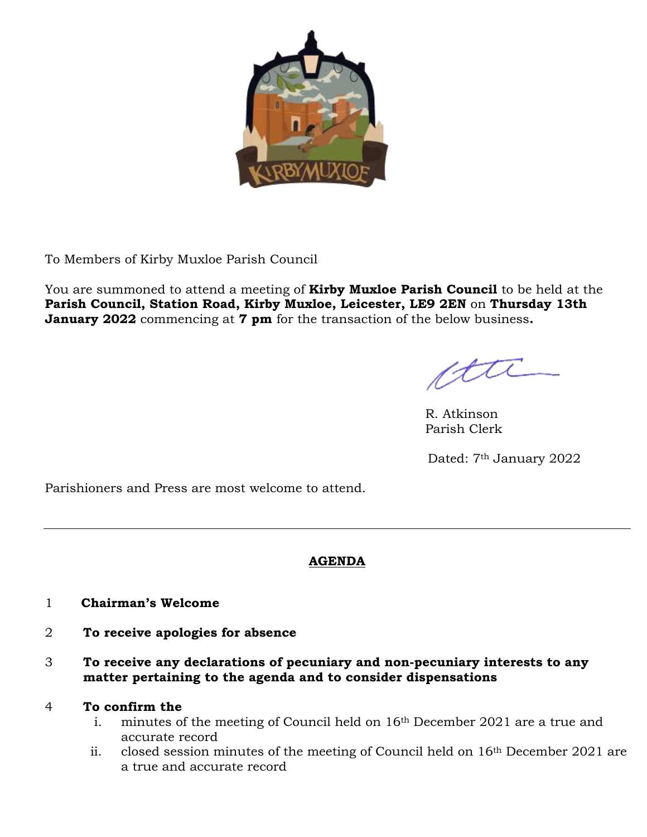

To Members of Kirby Muxloe Parish Council

You are summoned to attend a meeting of **Kirby Muxloe Parish Council** to be held at the **Parish Council, Station Road, Kirby Muxloe, Leicester, LE9 2EN** on **Thursday 13th January 2022** commencing at **7 pm** for the transaction of the below business**.**

R. Atkinson Parish Clerk

Dated: 7<sup>th</sup> January 2022

Parishioners and Press are most welcome to attend.

# **AGENDA**

- 1 **Chairman's Welcome**
- 2 **To receive apologies for absence**
- 3 **To receive any declarations of pecuniary and non-pecuniary interests to any matter pertaining to the agenda and to consider dispensations**

# 4 **To confirm the**

- i. minutes of the meeting of Council held on 16<sup>th</sup> December 2021 are a true and accurate record
- ii. closed session minutes of the meeting of Council held on 16th December 2021 are a true and accurate record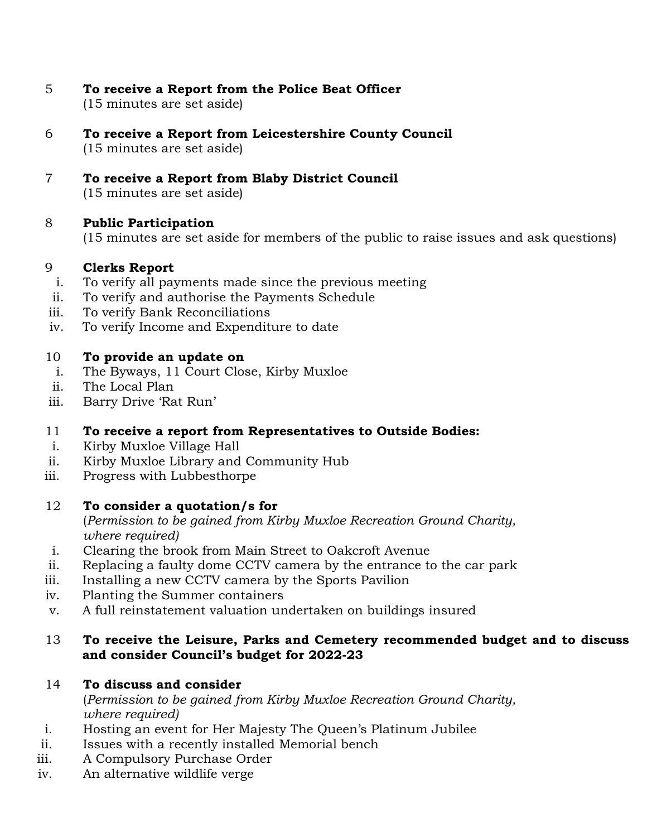- 5 **To receive a Report from the Police Beat Officer**  (15 minutes are set aside)
- 6 **To receive a Report from Leicestershire County Council** (15 minutes are set aside)
- 7 **To receive a Report from Blaby District Council** (15 minutes are set aside)

### 8 **Public Participation**

(15 minutes are set aside for members of the public to raise issues and ask questions)

### 9 **Clerks Report**

- i. To verify all payments made since the previous meeting
- ii. To verify and authorise the Payments Schedule
- iii. To verify Bank Reconciliations
- iv. To verify Income and Expenditure to date

### 10 **To provide an update on**

- i. The Byways, 11 Court Close, Kirby Muxloe
- ii. The Local Plan
- iii. Barry Drive 'Rat Run'

### 11 **To receive a report from Representatives to Outside Bodies:**

- i. Kirby Muxloe Village Hall
- ii. Kirby Muxloe Library and Community Hub
- iii. Progress with Lubbesthorpe

### 12 **To consider a quotation/s for**

(*Permission to be gained from Kirby Muxloe Recreation Ground Charity, where required)*

- i. Clearing the brook from Main Street to Oakcroft Avenue
- ii. Replacing a faulty dome CCTV camera by the entrance to the car park
- iii. Installing a new CCTV camera by the Sports Pavilion
- iv. Planting the Summer containers
- v. A full reinstatement valuation undertaken on buildings insured

### 13 **To receive the Leisure, Parks and Cemetery recommended budget and to discuss and consider Council's budget for 2022-23**

### 14 **To discuss and consider**

(*Permission to be gained from Kirby Muxloe Recreation Ground Charity, where required)*

- i. Hosting an event for Her Majesty The Queen's Platinum Jubilee
- ii. Issues with a recently installed Memorial bench
- iii. A Compulsory Purchase Order
- iv. An alternative wildlife verge